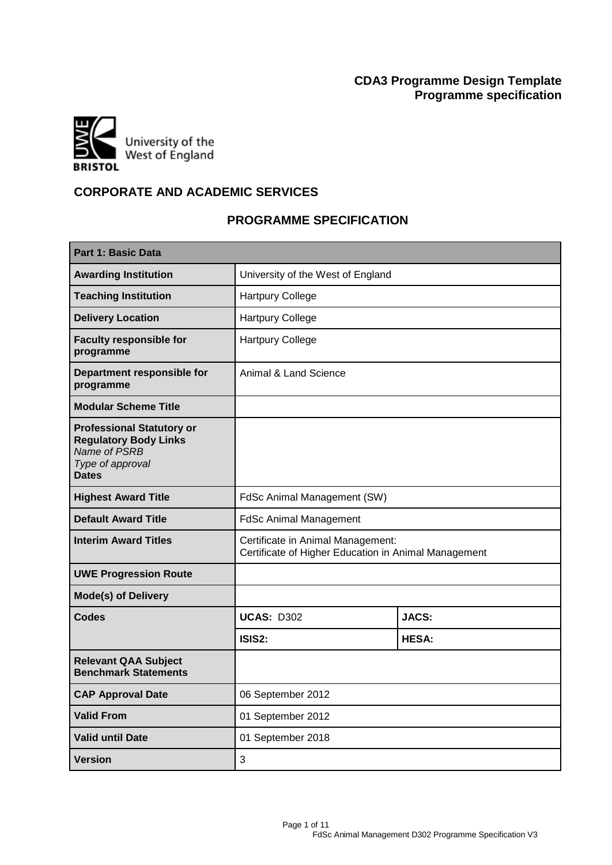# **CDA3 Programme Design Template Programme specification**



# **CORPORATE AND ACADEMIC SERVICES**

# **PROGRAMME SPECIFICATION**

| Part 1: Basic Data                                                                                                   |                                                                                           |              |
|----------------------------------------------------------------------------------------------------------------------|-------------------------------------------------------------------------------------------|--------------|
| <b>Awarding Institution</b>                                                                                          | University of the West of England                                                         |              |
| <b>Teaching Institution</b>                                                                                          | <b>Hartpury College</b>                                                                   |              |
| <b>Delivery Location</b>                                                                                             | <b>Hartpury College</b>                                                                   |              |
| <b>Faculty responsible for</b><br>programme                                                                          | <b>Hartpury College</b>                                                                   |              |
| Department responsible for<br>programme                                                                              | Animal & Land Science                                                                     |              |
| <b>Modular Scheme Title</b>                                                                                          |                                                                                           |              |
| <b>Professional Statutory or</b><br><b>Regulatory Body Links</b><br>Name of PSRB<br>Type of approval<br><b>Dates</b> |                                                                                           |              |
| <b>Highest Award Title</b>                                                                                           | FdSc Animal Management (SW)                                                               |              |
| <b>Default Award Title</b>                                                                                           | <b>FdSc Animal Management</b>                                                             |              |
| <b>Interim Award Titles</b>                                                                                          | Certificate in Animal Management:<br>Certificate of Higher Education in Animal Management |              |
| <b>UWE Progression Route</b>                                                                                         |                                                                                           |              |
| <b>Mode(s) of Delivery</b>                                                                                           |                                                                                           |              |
| <b>Codes</b>                                                                                                         | <b>UCAS: D302</b>                                                                         | <b>JACS:</b> |
|                                                                                                                      | ISIS2:                                                                                    | <b>HESA:</b> |
| <b>Relevant QAA Subject</b><br><b>Benchmark Statements</b>                                                           |                                                                                           |              |
| <b>CAP Approval Date</b>                                                                                             | 06 September 2012                                                                         |              |
| <b>Valid From</b>                                                                                                    | 01 September 2012                                                                         |              |
| <b>Valid until Date</b>                                                                                              | 01 September 2018                                                                         |              |
| <b>Version</b>                                                                                                       | 3                                                                                         |              |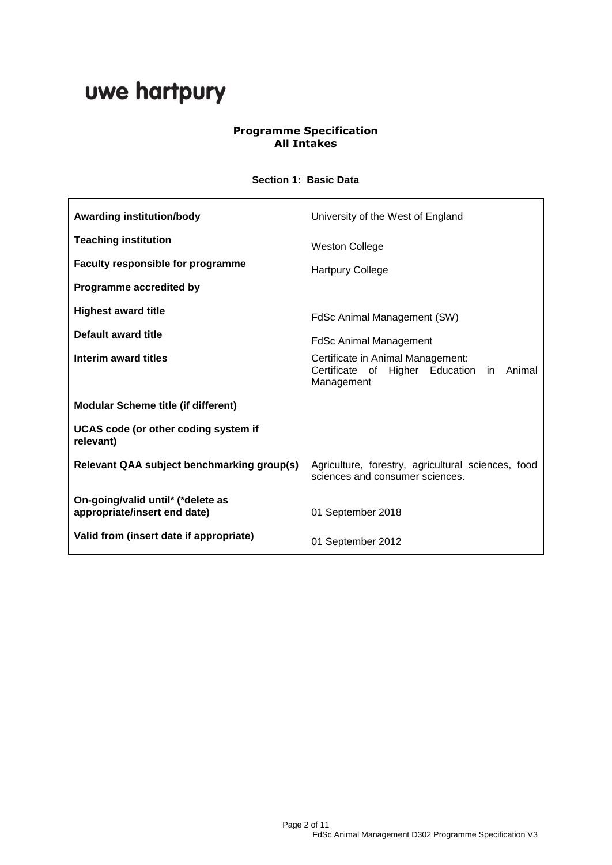# uwe hartpury

## **Programme Specification All Intakes**

## **Section 1: Basic Data**

| <b>Awarding institution/body</b>                                  | University of the West of England                                                                   |
|-------------------------------------------------------------------|-----------------------------------------------------------------------------------------------------|
| <b>Teaching institution</b>                                       | <b>Weston College</b>                                                                               |
| <b>Faculty responsible for programme</b>                          | <b>Hartpury College</b>                                                                             |
| Programme accredited by                                           |                                                                                                     |
| <b>Highest award title</b>                                        | FdSc Animal Management (SW)                                                                         |
| Default award title                                               | FdSc Animal Management                                                                              |
| Interim award titles                                              | Certificate in Animal Management:<br>Certificate of Higher Education<br>Animal<br>in.<br>Management |
| <b>Modular Scheme title (if different)</b>                        |                                                                                                     |
| UCAS code (or other coding system if<br>relevant)                 |                                                                                                     |
| Relevant QAA subject benchmarking group(s)                        | Agriculture, forestry, agricultural sciences, food<br>sciences and consumer sciences.               |
| On-going/valid until* (*delete as<br>appropriate/insert end date) | 01 September 2018                                                                                   |
| Valid from (insert date if appropriate)                           | 01 September 2012                                                                                   |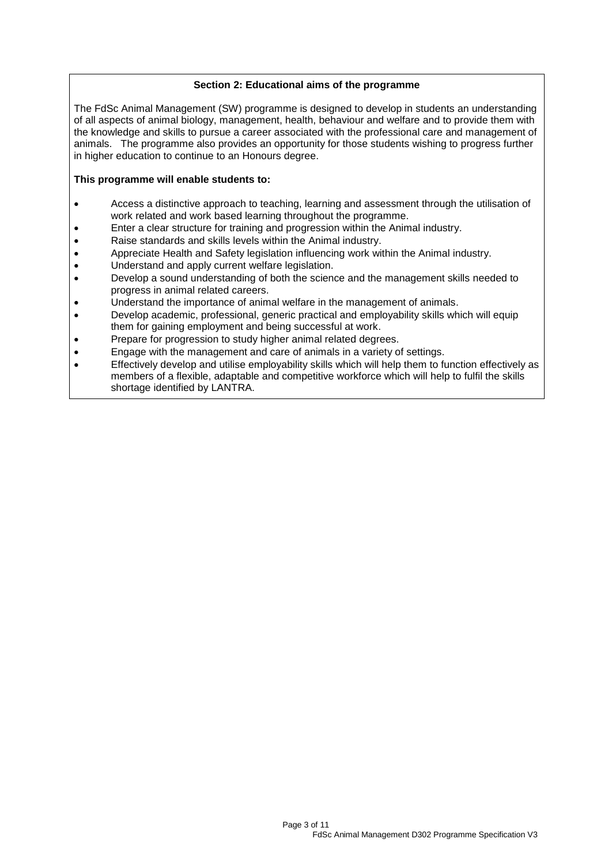### **Section 2: Educational aims of the programme**

The FdSc Animal Management (SW) programme is designed to develop in students an understanding of all aspects of animal biology, management, health, behaviour and welfare and to provide them with the knowledge and skills to pursue a career associated with the professional care and management of animals. The programme also provides an opportunity for those students wishing to progress further in higher education to continue to an Honours degree.

#### **This programme will enable students to:**

- Access a distinctive approach to teaching, learning and assessment through the utilisation of work related and work based learning throughout the programme.
- Enter a clear structure for training and progression within the Animal industry.
- Raise standards and skills levels within the Animal industry.
- Appreciate Health and Safety legislation influencing work within the Animal industry.
- Understand and apply current welfare legislation.
- Develop a sound understanding of both the science and the management skills needed to progress in animal related careers.
- Understand the importance of animal welfare in the management of animals.
- Develop academic, professional, generic practical and employability skills which will equip them for gaining employment and being successful at work.
- Prepare for progression to study higher animal related degrees.
- Engage with the management and care of animals in a variety of settings.
- Effectively develop and utilise employability skills which will help them to function effectively as members of a flexible, adaptable and competitive workforce which will help to fulfil the skills shortage identified by LANTRA.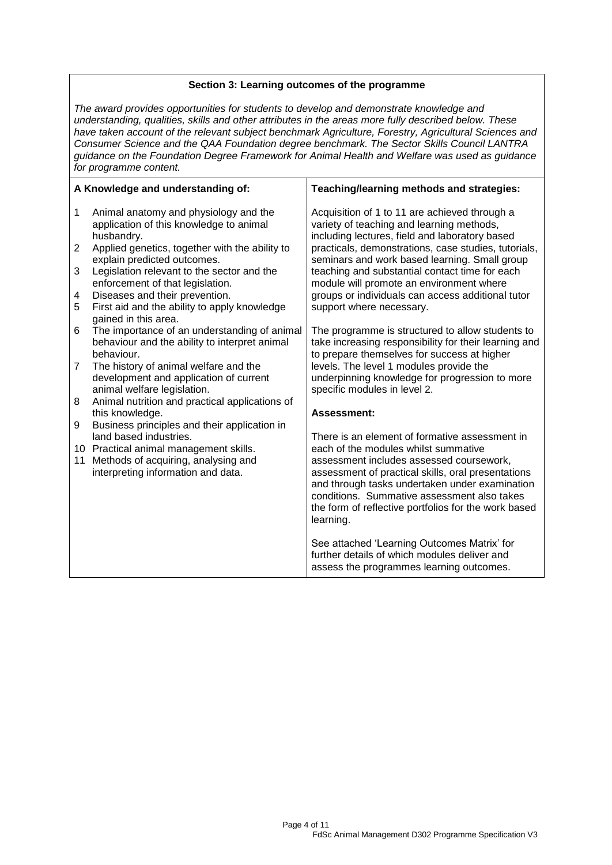## **Section 3: Learning outcomes of the programme**

*The award provides opportunities for students to develop and demonstrate knowledge and understanding, qualities, skills and other attributes in the areas more fully described below. These have taken account of the relevant subject benchmark Agriculture, Forestry, Agricultural Sciences and Consumer Science and the QAA Foundation degree benchmark. The Sector Skills Council LANTRA guidance on the Foundation Degree Framework for Animal Health and Welfare was used as guidance for programme content.*

|                | A Knowledge and understanding of:                                                              | Teaching/learning methods and strategies:                                                                                                    |
|----------------|------------------------------------------------------------------------------------------------|----------------------------------------------------------------------------------------------------------------------------------------------|
| 1              | Animal anatomy and physiology and the<br>application of this knowledge to animal<br>husbandry. | Acquisition of 1 to 11 are achieved through a<br>variety of teaching and learning methods,<br>including lectures, field and laboratory based |
| $\overline{2}$ | Applied genetics, together with the ability to<br>explain predicted outcomes.                  | practicals, demonstrations, case studies, tutorials,<br>seminars and work based learning. Small group                                        |
| 3              | Legislation relevant to the sector and the<br>enforcement of that legislation.                 | teaching and substantial contact time for each<br>module will promote an environment where                                                   |
| 4              | Diseases and their prevention.                                                                 | groups or individuals can access additional tutor                                                                                            |
| 5              | First aid and the ability to apply knowledge<br>gained in this area.                           | support where necessary.                                                                                                                     |
| 6              | The importance of an understanding of animal<br>behaviour and the ability to interpret animal  | The programme is structured to allow students to<br>take increasing responsibility for their learning and                                    |
|                | behaviour.                                                                                     | to prepare themselves for success at higher                                                                                                  |
| $\overline{7}$ | The history of animal welfare and the                                                          | levels. The level 1 modules provide the                                                                                                      |
|                | development and application of current<br>animal welfare legislation.                          | underpinning knowledge for progression to more<br>specific modules in level 2.                                                               |
| 8              | Animal nutrition and practical applications of                                                 |                                                                                                                                              |
|                | this knowledge.                                                                                | Assessment:                                                                                                                                  |
| 9              | Business principles and their application in<br>land based industries.                         | There is an element of formative assessment in                                                                                               |
|                | 10 Practical animal management skills.                                                         | each of the modules whilst summative                                                                                                         |
| 11             | Methods of acquiring, analysing and                                                            | assessment includes assessed coursework,                                                                                                     |
|                | interpreting information and data.                                                             | assessment of practical skills, oral presentations                                                                                           |
|                |                                                                                                | and through tasks undertaken under examination<br>conditions. Summative assessment also takes                                                |
|                |                                                                                                | the form of reflective portfolios for the work based                                                                                         |
|                |                                                                                                | learning.                                                                                                                                    |
|                |                                                                                                | See attached 'Learning Outcomes Matrix' for                                                                                                  |
|                |                                                                                                | further details of which modules deliver and                                                                                                 |
|                |                                                                                                | assess the programmes learning outcomes.                                                                                                     |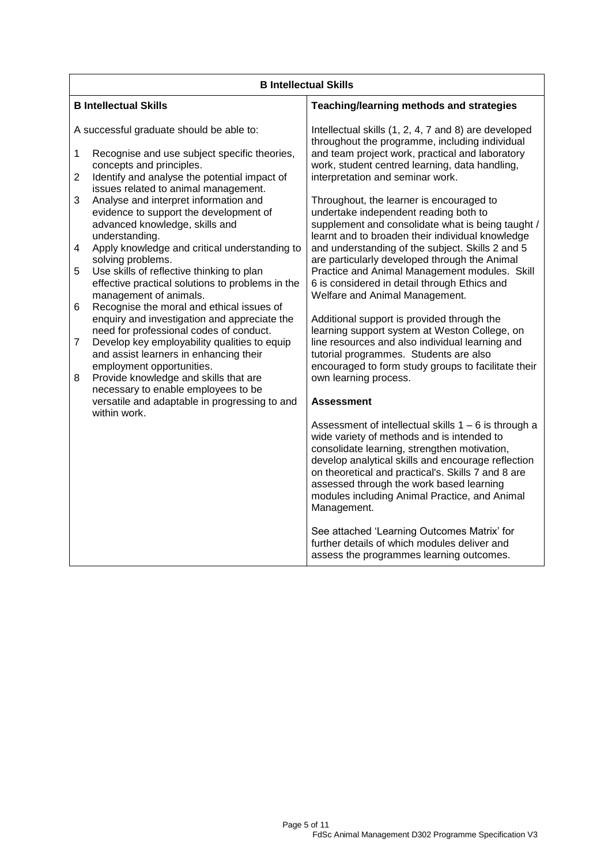|                     | <b>B Intellectual Skills</b>                                                                                                                                                         |                                                                                                                                                                                                                                                                                                                                                               |  |
|---------------------|--------------------------------------------------------------------------------------------------------------------------------------------------------------------------------------|---------------------------------------------------------------------------------------------------------------------------------------------------------------------------------------------------------------------------------------------------------------------------------------------------------------------------------------------------------------|--|
|                     | <b>B Intellectual Skills</b>                                                                                                                                                         | Teaching/learning methods and strategies                                                                                                                                                                                                                                                                                                                      |  |
|                     | A successful graduate should be able to:                                                                                                                                             | Intellectual skills (1, 2, 4, 7 and 8) are developed<br>throughout the programme, including individual                                                                                                                                                                                                                                                        |  |
| 1                   | Recognise and use subject specific theories,<br>concepts and principles.                                                                                                             | and team project work, practical and laboratory<br>work, student centred learning, data handling,                                                                                                                                                                                                                                                             |  |
| $\overline{2}$      | Identify and analyse the potential impact of<br>issues related to animal management.                                                                                                 | interpretation and seminar work.                                                                                                                                                                                                                                                                                                                              |  |
| 3                   | Analyse and interpret information and<br>evidence to support the development of<br>advanced knowledge, skills and<br>understanding.                                                  | Throughout, the learner is encouraged to<br>undertake independent reading both to<br>supplement and consolidate what is being taught /<br>learnt and to broaden their individual knowledge                                                                                                                                                                    |  |
| 4                   | Apply knowledge and critical understanding to<br>solving problems.                                                                                                                   | and understanding of the subject. Skills 2 and 5<br>are particularly developed through the Animal                                                                                                                                                                                                                                                             |  |
| 5                   | Use skills of reflective thinking to plan<br>effective practical solutions to problems in the<br>management of animals.                                                              | Practice and Animal Management modules. Skill<br>6 is considered in detail through Ethics and<br>Welfare and Animal Management.                                                                                                                                                                                                                               |  |
| 6<br>$\overline{7}$ | Recognise the moral and ethical issues of<br>enquiry and investigation and appreciate the<br>need for professional codes of conduct.<br>Develop key employability qualities to equip | Additional support is provided through the<br>learning support system at Weston College, on<br>line resources and also individual learning and                                                                                                                                                                                                                |  |
| 8                   | and assist learners in enhancing their<br>employment opportunities.<br>Provide knowledge and skills that are                                                                         | tutorial programmes. Students are also<br>encouraged to form study groups to facilitate their<br>own learning process.                                                                                                                                                                                                                                        |  |
|                     | necessary to enable employees to be<br>versatile and adaptable in progressing to and                                                                                                 | <b>Assessment</b>                                                                                                                                                                                                                                                                                                                                             |  |
|                     | within work.                                                                                                                                                                         |                                                                                                                                                                                                                                                                                                                                                               |  |
|                     |                                                                                                                                                                                      | Assessment of intellectual skills $1 - 6$ is through a<br>wide variety of methods and is intended to<br>consolidate learning, strengthen motivation,<br>develop analytical skills and encourage reflection<br>on theoretical and practical's. Skills 7 and 8 are<br>assessed through the work based learning<br>modules including Animal Practice, and Animal |  |
|                     |                                                                                                                                                                                      | Management.                                                                                                                                                                                                                                                                                                                                                   |  |
|                     |                                                                                                                                                                                      | See attached 'Learning Outcomes Matrix' for<br>further details of which modules deliver and<br>assess the programmes learning outcomes.                                                                                                                                                                                                                       |  |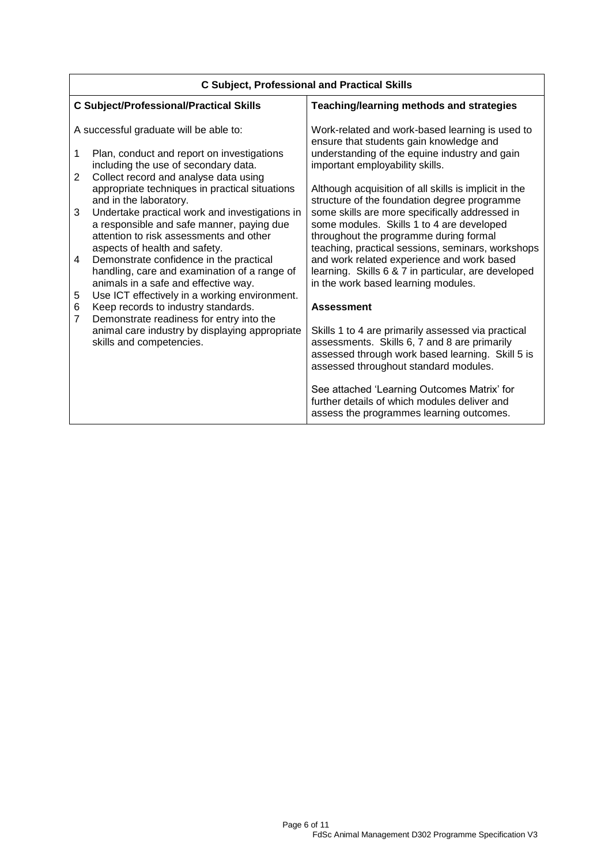| <b>C Subject, Professional and Practical Skills</b> |                                                                                             |                                                                                                       |
|-----------------------------------------------------|---------------------------------------------------------------------------------------------|-------------------------------------------------------------------------------------------------------|
|                                                     | <b>C Subject/Professional/Practical Skills</b>                                              | Teaching/learning methods and strategies                                                              |
|                                                     | A successful graduate will be able to:                                                      | Work-related and work-based learning is used to<br>ensure that students gain knowledge and            |
| 1                                                   | Plan, conduct and report on investigations<br>including the use of secondary data.          | understanding of the equine industry and gain<br>important employability skills.                      |
| 2                                                   | Collect record and analyse data using                                                       |                                                                                                       |
|                                                     | appropriate techniques in practical situations<br>and in the laboratory.                    | Although acquisition of all skills is implicit in the<br>structure of the foundation degree programme |
| 3                                                   | Undertake practical work and investigations in<br>a responsible and safe manner, paying due | some skills are more specifically addressed in<br>some modules. Skills 1 to 4 are developed           |
|                                                     | attention to risk assessments and other                                                     | throughout the programme during formal                                                                |
| 4                                                   | aspects of health and safety.<br>Demonstrate confidence in the practical                    | teaching, practical sessions, seminars, workshops<br>and work related experience and work based       |
|                                                     | handling, care and examination of a range of                                                | learning. Skills 6 & 7 in particular, are developed                                                   |
| 5                                                   | animals in a safe and effective way.<br>Use ICT effectively in a working environment.       | in the work based learning modules.                                                                   |
| 6                                                   | Keep records to industry standards.                                                         | <b>Assessment</b>                                                                                     |
| $\overline{7}$                                      | Demonstrate readiness for entry into the                                                    |                                                                                                       |
|                                                     | animal care industry by displaying appropriate<br>skills and competencies.                  | Skills 1 to 4 are primarily assessed via practical<br>assessments. Skills 6, 7 and 8 are primarily    |
|                                                     |                                                                                             | assessed through work based learning. Skill 5 is<br>assessed throughout standard modules.             |
|                                                     |                                                                                             |                                                                                                       |
|                                                     |                                                                                             | See attached 'Learning Outcomes Matrix' for<br>further details of which modules deliver and           |
|                                                     |                                                                                             | assess the programmes learning outcomes.                                                              |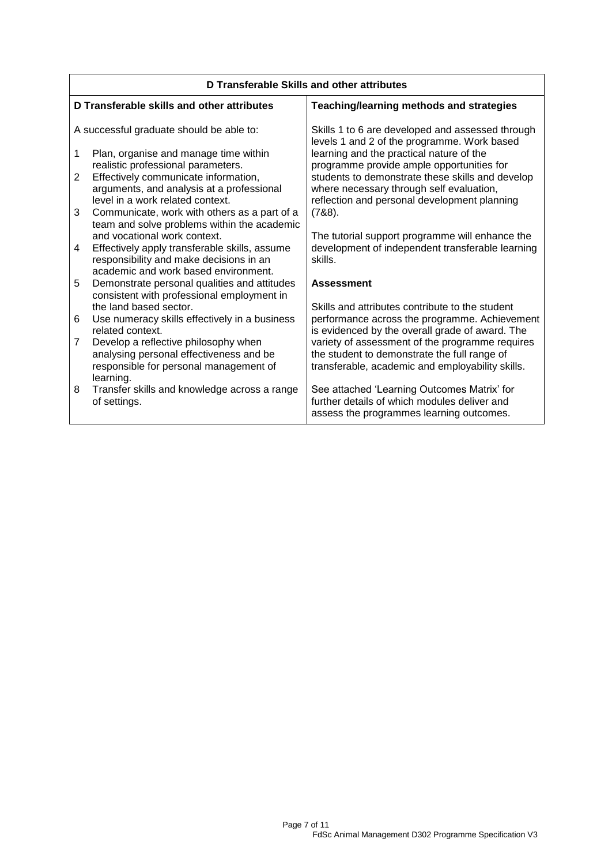| D Transferable Skills and other attributes |                                                                                                                                                                  |                                                                                                                                                     |
|--------------------------------------------|------------------------------------------------------------------------------------------------------------------------------------------------------------------|-----------------------------------------------------------------------------------------------------------------------------------------------------|
|                                            | D Transferable skills and other attributes                                                                                                                       | Teaching/learning methods and strategies                                                                                                            |
|                                            | A successful graduate should be able to:                                                                                                                         | Skills 1 to 6 are developed and assessed through<br>levels 1 and 2 of the programme. Work based                                                     |
| 1                                          | Plan, organise and manage time within<br>realistic professional parameters.                                                                                      | learning and the practical nature of the<br>programme provide ample opportunities for                                                               |
| $\overline{2}$                             | Effectively communicate information,<br>arguments, and analysis at a professional                                                                                | students to demonstrate these skills and develop<br>where necessary through self evaluation,                                                        |
| 3                                          | level in a work related context.<br>Communicate, work with others as a part of a<br>team and solve problems within the academic                                  | reflection and personal development planning<br>(788).                                                                                              |
| 4                                          | and vocational work context.<br>Effectively apply transferable skills, assume<br>responsibility and make decisions in an<br>academic and work based environment. | The tutorial support programme will enhance the<br>development of independent transferable learning<br>skills.                                      |
| 5                                          | Demonstrate personal qualities and attitudes<br>consistent with professional employment in                                                                       | <b>Assessment</b>                                                                                                                                   |
| 6                                          | the land based sector.<br>Use numeracy skills effectively in a business<br>related context.                                                                      | Skills and attributes contribute to the student<br>performance across the programme. Achievement<br>is evidenced by the overall grade of award. The |
| $\overline{7}$                             | Develop a reflective philosophy when<br>analysing personal effectiveness and be<br>responsible for personal management of<br>learning.                           | variety of assessment of the programme requires<br>the student to demonstrate the full range of<br>transferable, academic and employability skills. |
| 8                                          | Transfer skills and knowledge across a range<br>of settings.                                                                                                     | See attached 'Learning Outcomes Matrix' for<br>further details of which modules deliver and<br>assess the programmes learning outcomes.             |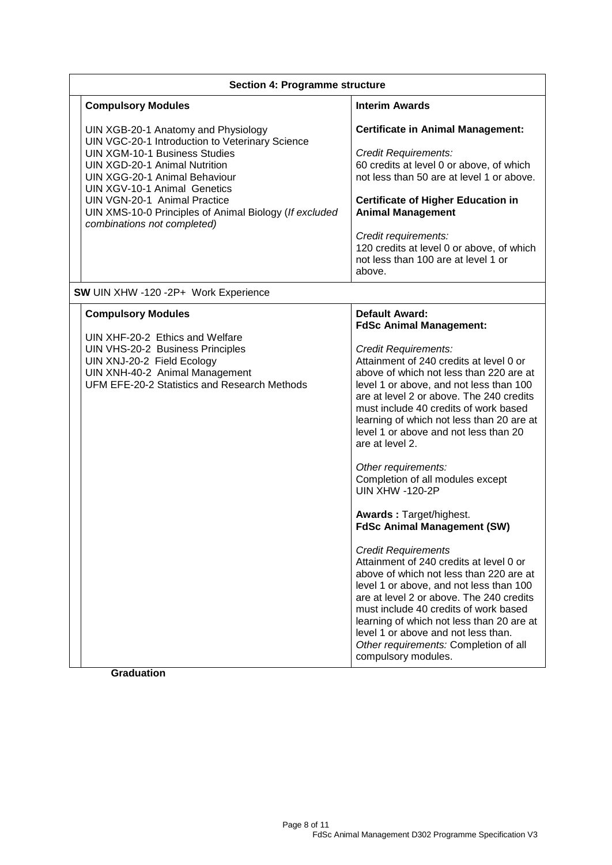| <b>Section 4: Programme structure</b>                                                                                                                                                                                                                                                                                                                                   |                                                                                                                                                                                                                                                                                                                                                                                                                                                                                                                                                                                                                                                                                                                                                                                                                                                                                                                                                                                            |  |
|-------------------------------------------------------------------------------------------------------------------------------------------------------------------------------------------------------------------------------------------------------------------------------------------------------------------------------------------------------------------------|--------------------------------------------------------------------------------------------------------------------------------------------------------------------------------------------------------------------------------------------------------------------------------------------------------------------------------------------------------------------------------------------------------------------------------------------------------------------------------------------------------------------------------------------------------------------------------------------------------------------------------------------------------------------------------------------------------------------------------------------------------------------------------------------------------------------------------------------------------------------------------------------------------------------------------------------------------------------------------------------|--|
| <b>Compulsory Modules</b>                                                                                                                                                                                                                                                                                                                                               | <b>Interim Awards</b>                                                                                                                                                                                                                                                                                                                                                                                                                                                                                                                                                                                                                                                                                                                                                                                                                                                                                                                                                                      |  |
| UIN XGB-20-1 Anatomy and Physiology<br>UIN VGC-20-1 Introduction to Veterinary Science<br><b>UIN XGM-10-1 Business Studies</b><br><b>UIN XGD-20-1 Animal Nutrition</b><br>UIN XGG-20-1 Animal Behaviour<br><b>UIN XGV-10-1 Animal Genetics</b><br>UIN VGN-20-1 Animal Practice<br>UIN XMS-10-0 Principles of Animal Biology (If excluded<br>combinations not completed) | <b>Certificate in Animal Management:</b><br><b>Credit Requirements:</b><br>60 credits at level 0 or above, of which<br>not less than 50 are at level 1 or above.<br><b>Certificate of Higher Education in</b><br><b>Animal Management</b><br>Credit requirements:<br>120 credits at level 0 or above, of which<br>not less than 100 are at level 1 or<br>above.                                                                                                                                                                                                                                                                                                                                                                                                                                                                                                                                                                                                                            |  |
| SW UIN XHW -120 -2P+ Work Experience                                                                                                                                                                                                                                                                                                                                    |                                                                                                                                                                                                                                                                                                                                                                                                                                                                                                                                                                                                                                                                                                                                                                                                                                                                                                                                                                                            |  |
| <b>Compulsory Modules</b><br>UIN XHF-20-2 Ethics and Welfare<br>UIN VHS-20-2 Business Principles<br>UIN XNJ-20-2 Field Ecology<br>UIN XNH-40-2 Animal Management<br>UFM EFE-20-2 Statistics and Research Methods                                                                                                                                                        | <b>Default Award:</b><br><b>FdSc Animal Management:</b><br><b>Credit Requirements:</b><br>Attainment of 240 credits at level 0 or<br>above of which not less than 220 are at<br>level 1 or above, and not less than 100<br>are at level 2 or above. The 240 credits<br>must include 40 credits of work based<br>learning of which not less than 20 are at<br>level 1 or above and not less than 20<br>are at level 2.<br>Other requirements:<br>Completion of all modules except<br><b>UIN XHW -120-2P</b><br><b>Awards: Target/highest.</b><br><b>FdSc Animal Management (SW)</b><br><b>Credit Requirements</b><br>Attainment of 240 credits at level 0 or<br>above of which not less than 220 are at<br>level 1 or above, and not less than 100<br>are at level 2 or above. The 240 credits<br>must include 40 credits of work based<br>learning of which not less than 20 are at<br>level 1 or above and not less than.<br>Other requirements: Completion of all<br>compulsory modules. |  |

**Graduation**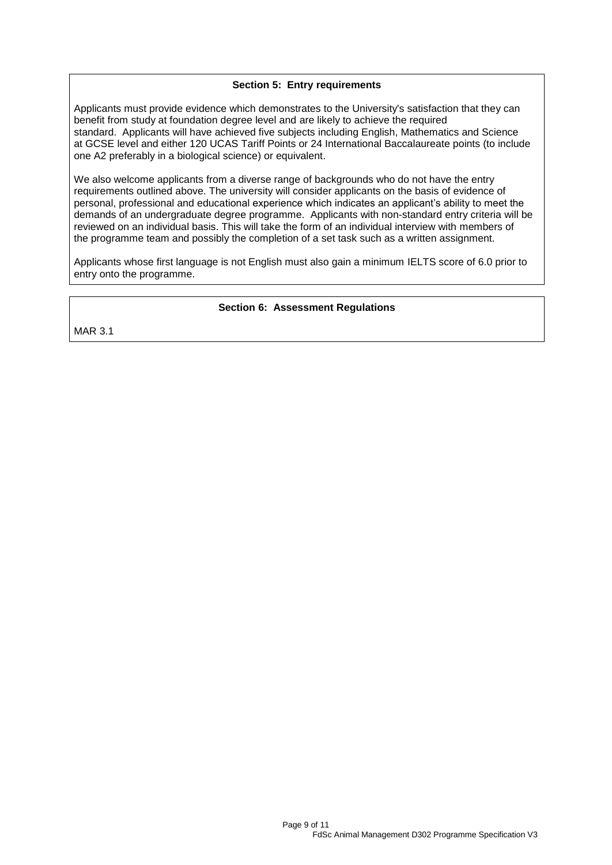#### **Section 5: Entry requirements**

Applicants must provide evidence which demonstrates to the University's satisfaction that they can benefit from study at foundation degree level and are likely to achieve the required standard. Applicants will have achieved five subjects including English, Mathematics and Science at GCSE level and either 120 UCAS Tariff Points or 24 International Baccalaureate points (to include one A2 preferably in a biological science) or equivalent.

We also welcome applicants from a diverse range of backgrounds who do not have the entry requirements outlined above. The university will consider applicants on the basis of evidence of personal, professional and educational experience which indicates an applicant's ability to meet the demands of an undergraduate degree programme. Applicants with non-standard entry criteria will be reviewed on an individual basis. This will take the form of an individual interview with members of the programme team and possibly the completion of a set task such as a written assignment.

Applicants whose first language is not English must also gain a minimum IELTS score of 6.0 prior to entry onto the programme.

#### **Section 6: Assessment Regulations**

MAR 3.1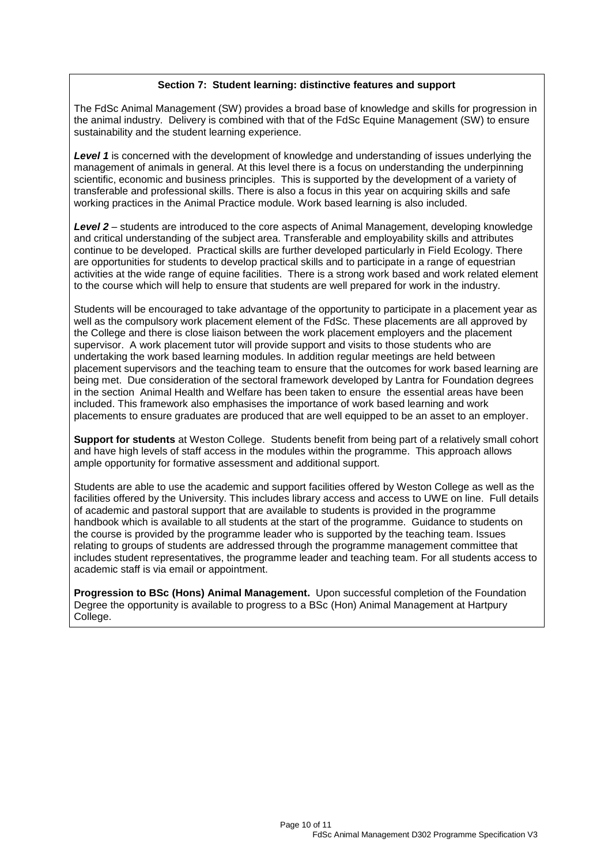#### **Section 7: Student learning: distinctive features and support**

The FdSc Animal Management (SW) provides a broad base of knowledge and skills for progression in the animal industry. Delivery is combined with that of the FdSc Equine Management (SW) to ensure sustainability and the student learning experience.

*Level 1* is concerned with the development of knowledge and understanding of issues underlying the management of animals in general. At this level there is a focus on understanding the underpinning scientific, economic and business principles. This is supported by the development of a variety of transferable and professional skills. There is also a focus in this year on acquiring skills and safe working practices in the Animal Practice module. Work based learning is also included.

*Level 2* – students are introduced to the core aspects of Animal Management, developing knowledge and critical understanding of the subject area. Transferable and employability skills and attributes continue to be developed. Practical skills are further developed particularly in Field Ecology. There are opportunities for students to develop practical skills and to participate in a range of equestrian activities at the wide range of equine facilities. There is a strong work based and work related element to the course which will help to ensure that students are well prepared for work in the industry.

Students will be encouraged to take advantage of the opportunity to participate in a placement year as well as the compulsory work placement element of the FdSc. These placements are all approved by the College and there is close liaison between the work placement employers and the placement supervisor. A work placement tutor will provide support and visits to those students who are undertaking the work based learning modules. In addition regular meetings are held between placement supervisors and the teaching team to ensure that the outcomes for work based learning are being met. Due consideration of the sectoral framework developed by Lantra for Foundation degrees in the section Animal Health and Welfare has been taken to ensure the essential areas have been included. This framework also emphasises the importance of work based learning and work placements to ensure graduates are produced that are well equipped to be an asset to an employer.

**Support for students** at Weston College. Students benefit from being part of a relatively small cohort and have high levels of staff access in the modules within the programme. This approach allows ample opportunity for formative assessment and additional support.

Students are able to use the academic and support facilities offered by Weston College as well as the facilities offered by the University. This includes library access and access to UWE on line. Full details of academic and pastoral support that are available to students is provided in the programme handbook which is available to all students at the start of the programme. Guidance to students on the course is provided by the programme leader who is supported by the teaching team. Issues relating to groups of students are addressed through the programme management committee that includes student representatives, the programme leader and teaching team. For all students access to academic staff is via email or appointment.

**Progression to BSc (Hons) Animal Management.** Upon successful completion of the Foundation Degree the opportunity is available to progress to a BSc (Hon) Animal Management at Hartpury College.